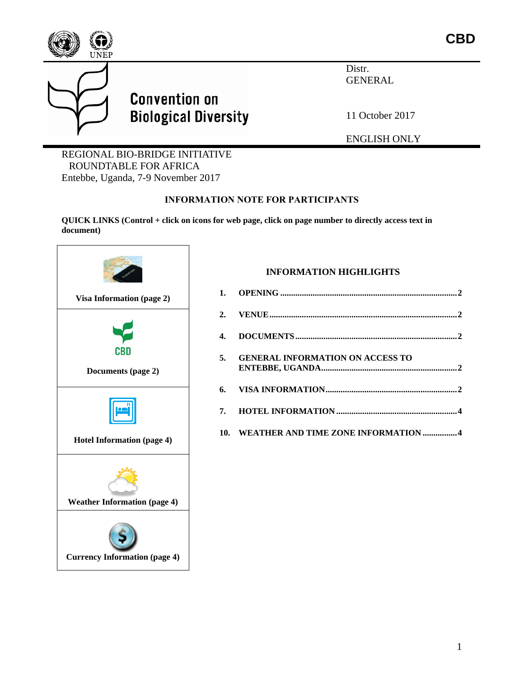

Distr. GENERAL

11 October 2017

ENGLISH ONLY

REGIONAL BIO-BRIDGE INITIATIVE ROUNDTABLE FOR AFRICA Entebbe, Uganda, 7-9 November 2017

**Convention on** 

**Biological Diversity** 

#### **INFORMATION NOTE FOR PARTICIPANTS**

**QUICK LINKS (Control + click on icons for web page, click on page number to directly access text in document)**



#### **INFORMATION HIGHLIGHTS**

| 5. GENERAL INFORMATION ON ACCESS TO     |
|-----------------------------------------|
|                                         |
|                                         |
| 10. WEATHER AND TIME ZONE INFORMATION 4 |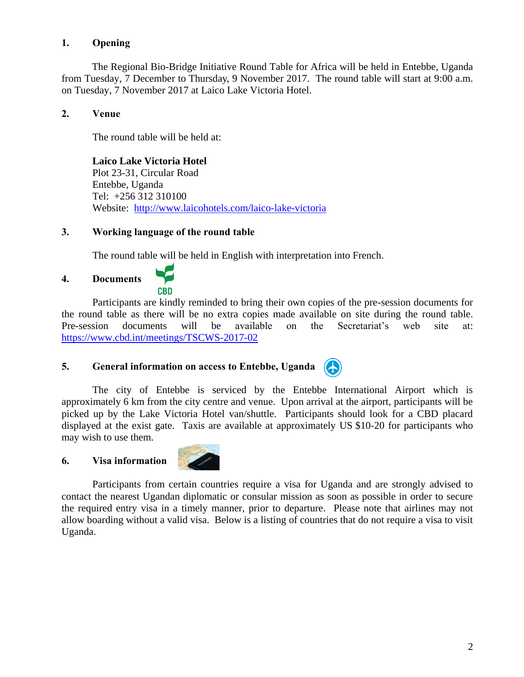# **1. Opening**

The Regional Bio-Bridge Initiative Round Table for Africa will be held in Entebbe, Uganda from Tuesday, 7 December to Thursday, 9 November 2017. The round table will start at 9:00 a.m. on Tuesday, 7 November 2017 at Laico Lake Victoria Hotel.

### **2. Venue**

The round table will be held at:

# **Laico Lake Victoria Hotel**

Plot 23-31, Circular Road Entebbe, Uganda Tel: +256 312 310100 Website: <http://www.laicohotels.com/laico-lake-victoria>

### **3. Working language of the round table**

The round table will be held in English with interpretation into French.

# **4. Documents**



Participants are kindly reminded to bring their own copies of the pre-session documents for the round table as there will be no extra copies made available on site during the round table. Pre-session documents will be available on the Secretariat's web site at: <https://www.cbd.int/meetings/TSCWS-2017-02>

#### **5. General information on access to Entebbe, Uganda** (<del>A</del>

The city of Entebbe is serviced by the Entebbe International Airport which is approximately 6 km from the city centre and venue. Upon arrival at the airport, participants will be picked up by the Lake Victoria Hotel van/shuttle. Participants should look for a CBD placard displayed at the exist gate. Taxis are available at approximately US \$10-20 for participants who may wish to use them.

#### <span id="page-1-0"></span>**6. Visa information**



Participants from certain countries require a visa for Uganda and are strongly advised to contact the nearest Ugandan diplomatic or consular mission as soon as possible in order to secure the required entry visa in a timely manner, prior to departure. Please note that airlines may not allow boarding without a valid visa. Below is a listing of countries that do not require a visa to visit Uganda.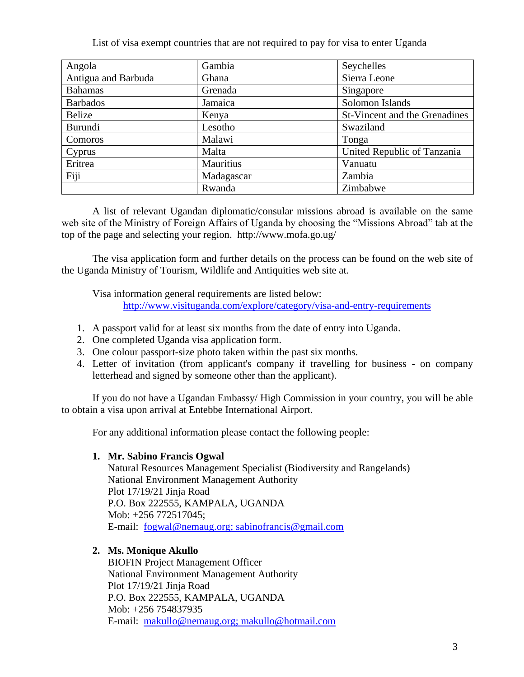List of visa exempt countries that are not required to pay for visa to enter Uganda

| Angola              | Gambia     | Seychelles                    |
|---------------------|------------|-------------------------------|
| Antigua and Barbuda | Ghana      | Sierra Leone                  |
| <b>Bahamas</b>      | Grenada    | Singapore                     |
| <b>Barbados</b>     | Jamaica    | Solomon Islands               |
| Belize              | Kenya      | St-Vincent and the Grenadines |
| Burundi             | Lesotho    | Swaziland                     |
| Comoros             | Malawi     | Tonga                         |
| Cyprus              | Malta      | United Republic of Tanzania   |
| Eritrea             | Mauritius  | Vanuatu                       |
| Fiji                | Madagascar | Zambia                        |
|                     | Rwanda     | Zimbabwe                      |

A list of relevant Ugandan diplomatic/consular missions abroad is available on the same web site of the Ministry of Foreign Affairs of Uganda by choosing the "Missions Abroad" tab at the top of the page and selecting your region. http://www.mofa.go.ug/

The visa application form and further details on the process can be found on the web site of the Uganda Ministry of Tourism, Wildlife and Antiquities web site at.

Visa information general requirements are listed below: <http://www.visituganda.com/explore/category/visa-and-entry-requirements>

- 1. A passport valid for at least six months from the date of entry into Uganda.
- 2. One completed Uganda visa application form.
- 3. One colour passport-size photo taken within the past six months.
- 4. Letter of invitation (from applicant's company if travelling for business on company letterhead and signed by someone other than the applicant).

If you do not have a Ugandan Embassy/ High Commission in your country, you will be able to obtain a visa upon arrival at Entebbe International Airport.

For any additional information please contact the following people:

#### **1. Mr. Sabino Francis Ogwal**

Natural Resources Management Specialist (Biodiversity and Rangelands) National Environment Management Authority Plot 17/19/21 Jinja Road P.O. Box 222555, KAMPALA, UGANDA Mob: +256 772517045; E-mail: [fogwal@nemaug.org; sabinofrancis@gmail.com](mailto:fogwal@nemaug.org;%20sabinofrancis@gmail.com)

# **2. Ms. Monique Akullo**

BIOFIN Project Management Officer National Environment Management Authority Plot 17/19/21 Jinja Road P.O. Box 222555, KAMPALA, UGANDA Mob: +256 754837935 E-mail: [makullo@nemaug.org; makullo@hotmail.com](mailto:makullo@nemaug.org;%20makullo@hotmail.com)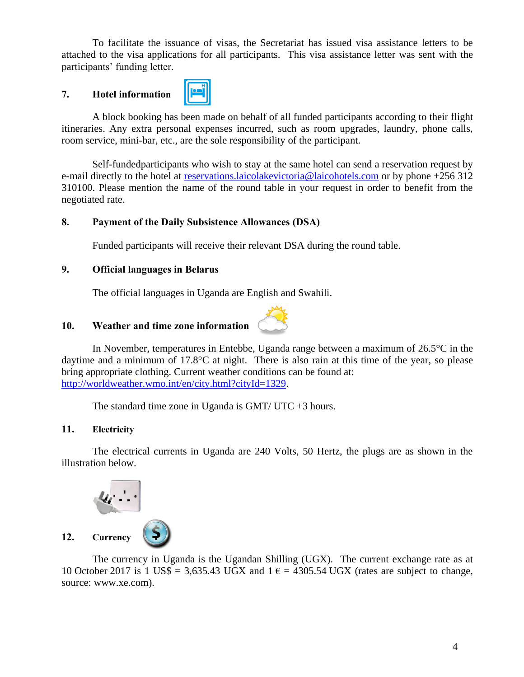To facilitate the issuance of visas, the Secretariat has issued visa assistance letters to be attached to the visa applications for all participants. This visa assistance letter was sent with the participants' funding letter.

# <span id="page-3-0"></span>**7. Hotel information**



A block booking has been made on behalf of all funded participants according to their flight itineraries. Any extra personal expenses incurred, such as room upgrades, laundry, phone calls, room service, mini-bar, etc., are the sole responsibility of the participant.

Self-fundedparticipants who wish to stay at the same hotel can send a reservation request by e-mail directly to the hotel at [reservations.laicolakevictoria@laicohotels.com](mailto:reservations.laicolakevictoria@laicohotels.com) or by phone +256 312 310100. Please mention the name of the round table in your request in order to benefit from the negotiated rate.

### **8. Payment of the Daily Subsistence Allowances (DSA)**

Funded participants will receive their relevant DSA during the round table.

# **9. Official languages in Belarus**

The official languages in Uganda are English and Swahili.

# <span id="page-3-1"></span>**10. Weather and time zone information**



The standard time zone in Uganda is  $GMT/$  UTC  $+3$  hours.

# **11. Electricity**

The electrical currents in Uganda are 240 Volts, 50 Hertz, the plugs are as shown in the illustration below.



<span id="page-3-2"></span>The currency in Uganda is the Ugandan Shilling (UGX). The current exchange rate as at 10 October 2017 is 1 US\$ = 3,635.43 UGX and  $1 \epsilon$  = 4305.54 UGX (rates are subject to change, source: www.xe.com).